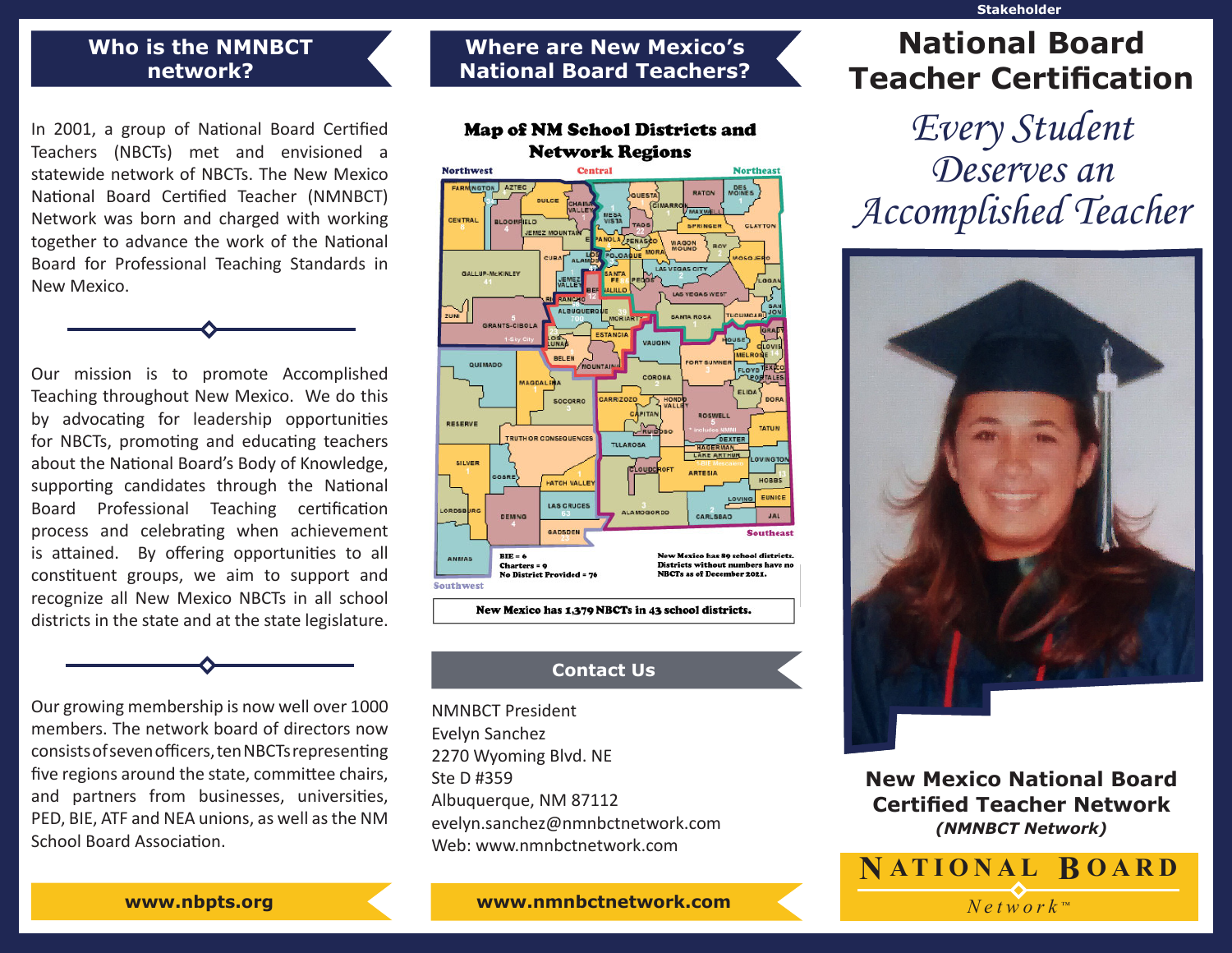#### **Stakeholder**

## **Who is the NMNBCT network?**

In 2001, a group of National Board Certified Teachers (NBCTs) met and envisioned a statewide network of NBCTs. The New Mexico National Board Certified Teacher (NMNBCT) Network was born and charged with working together to advance the work of the National Board for Professional Teaching Standards in New Mexico.

Our mission is to promote Accomplished Teaching throughout New Mexico. We do this by advocating for leadership opportunities for NBCTs, promoting and educating teachers about the National Board's Body of Knowledge, supporting candidates through the National Board Professional Teaching certification process and celebrating when achievement is attained. By offering opportunities to all constituent groups, we aim to support and recognize all New Mexico NBCTs in all school districts in the state and at the state legislature.

Our growing membership is now well over 1000 members. The network board of directors now consists of seven officers, ten NBCTs representing fve regions around the state, commitee chairs, and partners from businesses, universites, PED, BIE, ATF and NEA unions, as well as the NM School Board Association.

# **National Board Teachers?**

**Where are New Mexico's** 



## **Contact Us**

NMNBCT President Evelyn Sanchez 2270 Wyoming Blvd. NE Ste D #359 Albuquerque, NM 87112 evelyn.sanchez@nmnbctnetwork.com Web: www.nmnbctnetwork.com

## **National Board Teacher Certifcation**

Every Student Deserves an Accomplished Teacher



**New Mexico National Board Certifed Teacher Network** *(NMNBCT Network)*